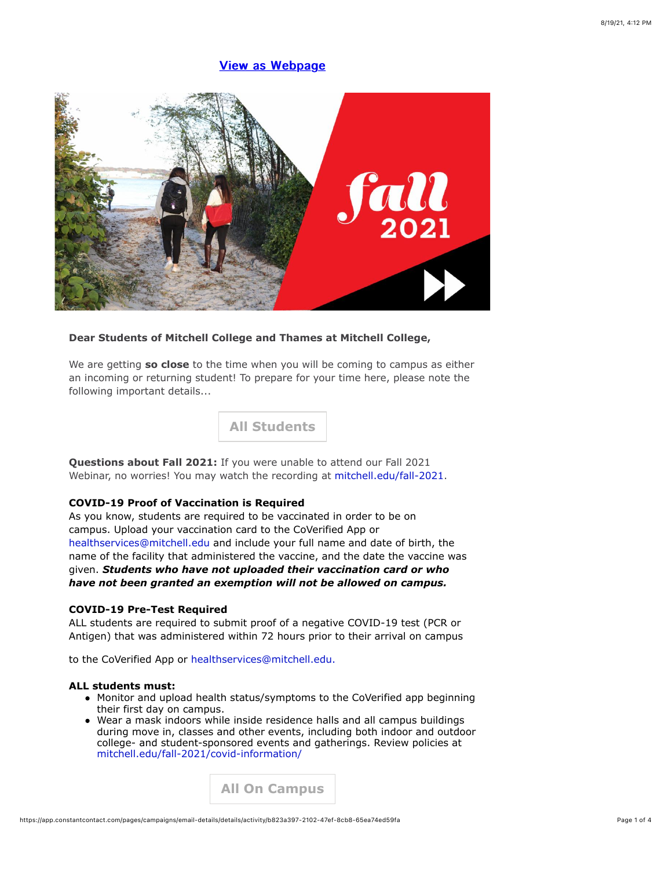# **View as Webpage**



## **Dear Students of Mitchell College and Thames at Mitchell College,**

We are getting **so close** to the time when you will be coming to campus as either an incoming or returning student! To prepare for your time here, please note the following important details...

**All Students**

**Questions about Fall 2021:** If you were unable to attend our Fall 2021 Webinar, no worries! You may watch the recording at mitchell.edu/fall-2021.

### **COVID-19 Proof of Vaccination is Required**

As you know, students are required to be vaccinated in order to be on campus. Upload your vaccination card to the CoVerified App or healthservices@mitchell.edu and include your full name and date of birth, the name of the facility that administered the vaccine, and the date the vaccine was given. *Students who have not uploaded their vaccination card or who have not been granted an exemption will not be allowed on campus.*

### **COVID-19 Pre-Test Required**

ALL students are required to submit proof of a negative COVID-19 test (PCR or Antigen) that was administered within 72 hours prior to their arrival on campus

to the CoVerified App or healthservices@mitchell.edu.

#### **ALL students must:**

- Monitor and upload health status/symptoms to the CoVerified app beginning their first day on campus.
- Wear a mask indoors while inside residence halls and all campus buildings during move in, classes and other events, including both indoor and outdoor college- and student-sponsored events and gatherings. Review policies at mitchell.edu/fall-2021/covid-information/

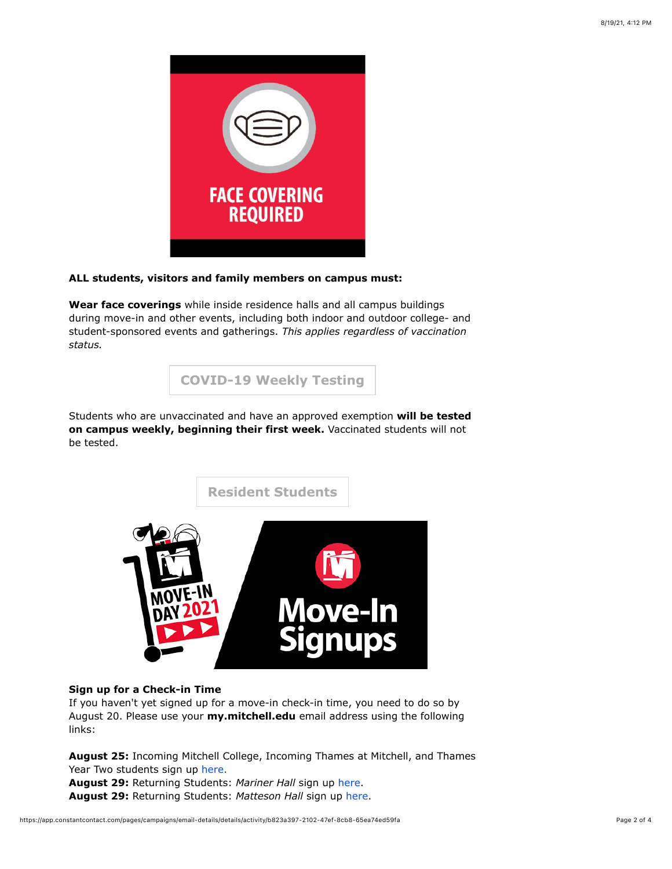

## **ALL students, visitors and family members on campus must:**

**Wear face coverings** while inside residence halls and all campus buildings during move-in and other events, including both indoor and outdoor college- and student-sponsored events and gatherings. *This applies regardless of vaccination status.*

**COVID-19 Weekly Testing**

Students who are unvaccinated and have an approved exemption **will be tested on campus weekly, beginning their first week.** Vaccinated students will not be tested.



### **Sign up for a Check-in Time**

If you haven't yet signed up for a move-in check-in time, you need to do so by August 20. Please use your **my.mitchell.edu** email address using the following links:

**August 25:** Incoming Mitchell College, Incoming Thames at Mitchell, and Thames Year Two students sign up here. **August 29:** Returning Students: *Mariner Hall* sign up here.

**August 29:** Returning Students: *Matteson Hall* sign up here.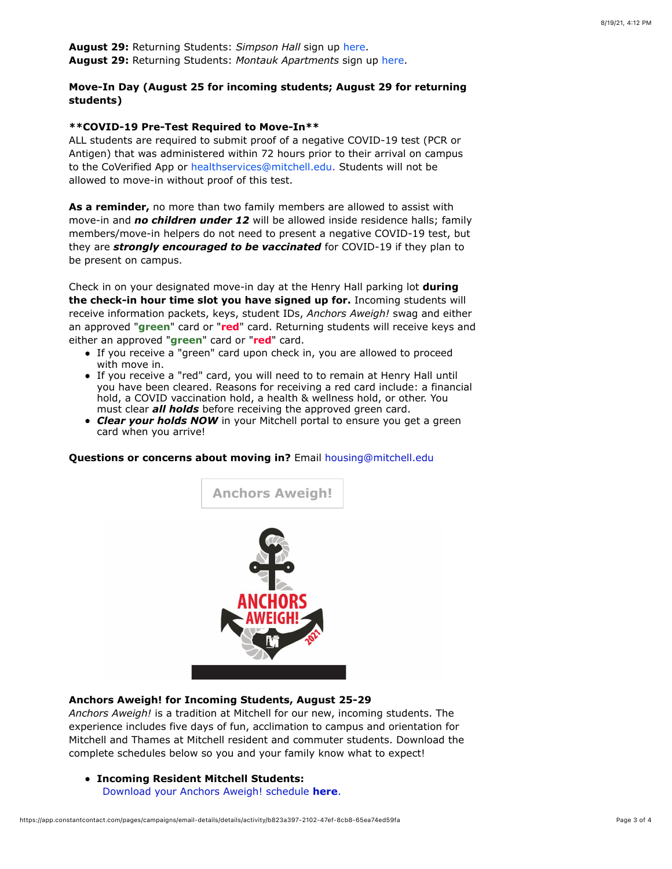**August 29:** Returning Students: *Simpson Hall* sign up here. **August 29:** Returning Students: *Montauk Apartments* sign up here.

# **Move-In Day (August 25 for incoming students; August 29 for returning students)**

#### **\*\*COVID-19 Pre-Test Required to Move-In\*\***

ALL students are required to submit proof of a negative COVID-19 test (PCR or Antigen) that was administered within 72 hours prior to their arrival on campus to the CoVerified App or healthservices@mitchell.edu. Students will not be allowed to move-in without proof of this test.

**As a reminder,** no more than two family members are allowed to assist with move-in and *no children under 12* will be allowed inside residence halls; family members/move-in helpers do not need to present a negative COVID-19 test, but they are *strongly encouraged to be vaccinated* for COVID-19 if they plan to be present on campus.

Check in on your designated move-in day at the Henry Hall parking lot **during the check-in hour time slot you have signed up for.** Incoming students will receive information packets, keys, student IDs, *Anchors Aweigh!* swag and either an approved "**green**" card or "**red**" card. Returning students will receive keys and either an approved "**green**" card or "**red**" card.

- If you receive a "green" card upon check in, you are allowed to proceed with move in.
- If you receive a "red" card, you will need to to remain at Henry Hall until you have been cleared. Reasons for receiving a red card include: a financial hold, a COVID vaccination hold, a health & wellness hold, or other. You must clear *all holds* before receiving the approved green card.
- *Clear your holds NOW* in your Mitchell portal to ensure you get a green card when you arrive!

### **Questions or concerns about moving in?** Email housing@mitchell.edu



#### **Anchors Aweigh! for Incoming Students, August 25-29**

*Anchors Aweigh!* is a tradition at Mitchell for our new, incoming students. The experience includes five days of fun, acclimation to campus and orientation for Mitchell and Thames at Mitchell resident and commuter students. Download the complete schedules below so you and your family know what to expect!

**Incoming Resident Mitchell Students:**

Download your Anchors Aweigh! schedule **here**.